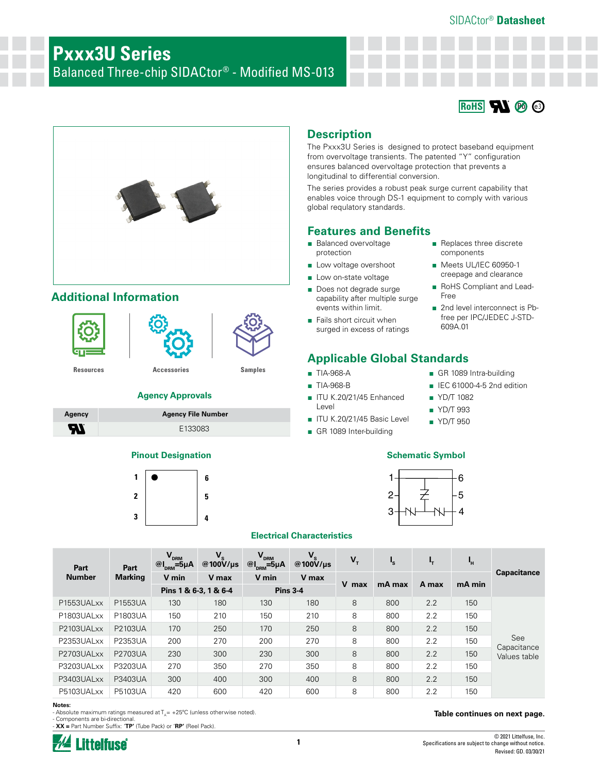### SIDACtor® **Datasheet**

# **Pxxx3U Series** Balanced Three-chip SIDACtor® - Modified MS-013





# **Additional Information**





**[Resources](https://www.littelfuse.com/products/sidactor-protection-thyristors/baseband-voice-ds1-protection/pxxx3u_.aspx#TechnicalResources) [Accessories](https://www.littelfuse.com/products/sidactor-protection-thyristors/baseband-voice-ds1-protection/pxxx3u_.aspx#EnvironmentalInfo) [Samples](https://www.littelfuse.com/products/sidactor-protection-thyristors/baseband-voice-ds1-protection/pxxx3u_.aspx#ElectricalCharacteristics)**

### **Agency Approvals**

| Agency | <b>Agency File Number</b> |
|--------|---------------------------|
| Яï     | E133083                   |

### **Pinout Designation Schematic Symbol**





# **Description**

The Pxxx3U Series is designed to protect baseband equipment from overvoltage transients. The patented "Y" configuration ensures balanced overvoltage protection that prevents a longitudinal to differential conversion.

The series provides a robust peak surge current capability that enables voice through DS-1 equipment to comply with various global requlatory standards.

### **Features and Benefits**

- Balanced overvoltage protection
- Low voltage overshoot
- Low on-state voltage
- Does not degrade surge capability after multiple surge events within limit.
- Fails short circuit when surged in excess of ratings

## **Applicable Global Standards**

- TIA-968-A ■ TIA-968-B
- ITU K.20/21/45 Enhanced Level
- ITU K.20/21/45 Basic Level
- GR 1089 Inter-building
- Replaces three discrete components
- Meets UL/IEC 60950-1 creepage and clearance
- RoHS Compliant and Lead-Free
- 2nd level interconnect is Pbfree per IPC/JEDEC J-STD-609A.01
- GR 1089 Intra-building
- IEC 61000-4-5 2nd edition
- YD/T 1082
- YD/T 993
- YD/T 950



### **Electrical Characteristics**

| Part          | Part           | $V_{DRM}$<br>@ $I_{DRM} = 5\mu A$ | $V_{s}$<br>@100 $V/\mu s$ | $V_{DRM}$<br>$@I_{DRM} = 5\mu A$ | $V_{s}$<br>$@100V/\mu s$ | $V_T$ | $\mathbf{I}_\mathbf{S}$ | ч,    | Ч.     |                    |
|---------------|----------------|-----------------------------------|---------------------------|----------------------------------|--------------------------|-------|-------------------------|-------|--------|--------------------|
| <b>Number</b> | <b>Marking</b> | V min                             | V max                     | V min                            | V max                    | V max | mA max                  | A max | mA min | <b>Capacitance</b> |
|               |                | Pins 1 & 6-3, 1 & 6-4             |                           | <b>Pins 3-4</b>                  |                          |       |                         |       |        |                    |
| P1553UALxx    | P1553UA        | 130                               | 180                       | 130                              | 180                      | 8     | 800                     | 2.2   | 150    |                    |
| P1803UALxx    | P1803UA        | 150                               | 210                       | 150                              | 210                      | 8     | 800                     | 2.2   | 150    |                    |
| P2103UALxx    | P2103UA        | 170                               | 250                       | 170                              | 250                      | 8     | 800                     | 2.2   | 150    |                    |
| P2353UALxx    | P2353UA        | 200                               | 270                       | 200                              | 270                      | 8     | 800                     | 2.2   | 150    | See<br>Capacitance |
| P2703UALxx    | P2703UA        | 230                               | 300                       | 230                              | 300                      | 8     | 800                     | 2.2   | 150    | Values table       |
| P3203UALxx    | P3203UA        | 270                               | 350                       | 270                              | 350                      | 8     | 800                     | 2.2   | 150    |                    |
| P3403UALxx    | P3403UA        | 300                               | 400                       | 300                              | 400                      | 8     | 800                     | 2.2   | 150    |                    |
| P5103UALxx    | P5103UA        | 420                               | 600                       | 420                              | 600                      | 8     | 800                     | 2.2   | 150    |                    |

### **Notes:**

- Absolute maximum ratings measured at  $T_A$  = +25°C (unless otherwise noted). - Components are bi-directional.

- **XX =** Part Number Suffix: '**TP'** (Tube Pack) or '**RP'** (Reel Pack).



### **Table continues on next page.**

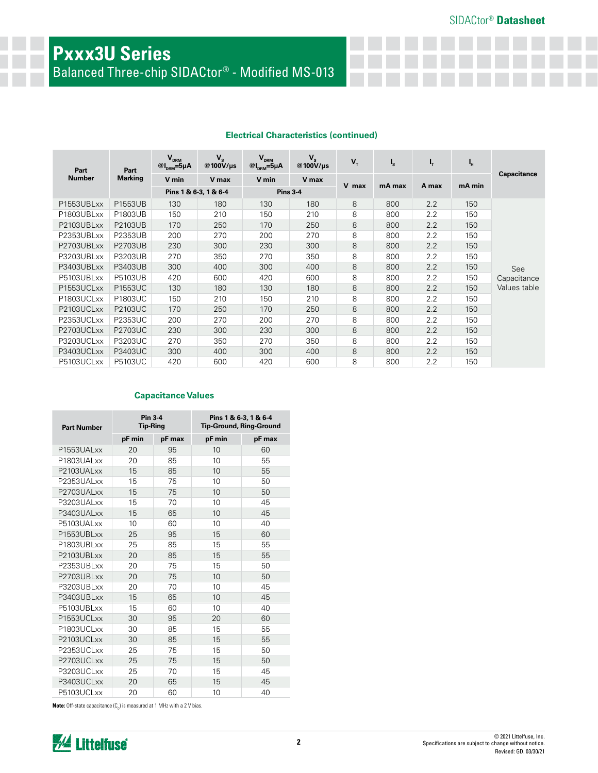# **Pxxx3U Series**

Balanced Three-chip SIDACtor® - Modified MS-013

### **Electrical Characteristics (continued)**

| Part          | Part           | $V_{DRM}$<br>$@I_{DRM} = 5\mu A$ | $V_{s}$<br>@100 $V/\mu s$ | $V_{DRM}$<br>$@I_{DRM} = 5\mu A$ | $V_{s}$<br>@100V/us | $\mathbf{V}_{\mathrm{T}}$ | $\mathbf{I}_s$ | ı,    | Ч,     |              |
|---------------|----------------|----------------------------------|---------------------------|----------------------------------|---------------------|---------------------------|----------------|-------|--------|--------------|
| <b>Number</b> | <b>Marking</b> | V min                            | V max                     | V min                            | V max               |                           |                |       |        | Capacitance  |
|               |                | Pins 1 & 6-3, 1 & 6-4            |                           |                                  | <b>Pins 3-4</b>     | V max                     | mA max         | A max | mA min |              |
| P1553UBLxx    | P1553UB        | 130                              | 180                       | 130                              | 180                 | 8                         | 800            | 2.2   | 150    |              |
| P1803UBLxx    | P1803UB        | 150                              | 210                       | 150                              | 210                 | 8                         | 800            | 2.2   | 150    |              |
| P2103UBLxx    | P2103UB        | 170                              | 250                       | 170                              | 250                 | 8                         | 800            | 2.2   | 150    |              |
| P2353UBLxx    | P2353UB        | 200                              | 270                       | 200                              | 270                 | 8                         | 800            | 2.2   | 150    |              |
| P2703UBLxx    | P2703UB        | 230                              | 300                       | 230                              | 300                 | 8                         | 800            | 2.2   | 150    |              |
| P3203UBLxx    | P3203UB        | 270                              | 350                       | 270                              | 350                 | 8                         | 800            | 2.2   | 150    |              |
| P3403UBLxx    | P3403UB        | 300                              | 400                       | 300                              | 400                 | 8                         | 800            | 2.2   | 150    | See          |
| P5103UBLxx    | P5103UB        | 420                              | 600                       | 420                              | 600                 | 8                         | 800            | 2.2   | 150    | Capacitance  |
| P1553UCLxx    | <b>P1553UC</b> | 130                              | 180                       | 130                              | 180                 | 8                         | 800            | 2.2   | 150    | Values table |
| P1803UCLxx    | P1803UC        | 150                              | 210                       | 150                              | 210                 | 8                         | 800            | 2.2   | 150    |              |
| P2103UCLxx    | P2103UC        | 170                              | 250                       | 170                              | 250                 | 8                         | 800            | 2.2   | 150    |              |
| P2353UCLxx    | P2353UC        | 200                              | 270                       | 200                              | 270                 | 8                         | 800            | 2.2   | 150    |              |
| P2703UCLxx    | P2703UC        | 230                              | 300                       | 230                              | 300                 | 8                         | 800            | 2.2   | 150    |              |
| P3203UCLxx    | P3203UC        | 270                              | 350                       | 270                              | 350                 | 8                         | 800            | 2.2   | 150    |              |
| P3403UCLxx    | P3403UC        | 300                              | 400                       | 300                              | 400                 | 8                         | 800            | 2.2   | 150    |              |
| P5103UCLxx    | P5103UC        | 420                              | 600                       | 420                              | 600                 | 8                         | 800            | 2.2   | 150    |              |

### **Capacitance Values**

| <b>Part Number</b> | Pin 3-4<br><b>Tip-Ring</b> |        | Pins 1 & 6-3, 1 & 6-4<br><b>Tip-Ground, Ring-Ground</b> |        |  |
|--------------------|----------------------------|--------|---------------------------------------------------------|--------|--|
|                    | pF min                     | pF max | pF min                                                  | pF max |  |
| P1553UALxx         | 20                         | 95     | 10                                                      | 60     |  |
| P1803UALxx         | 20                         | 85     | 10                                                      | 55     |  |
| P2103UALxx         | 15                         | 85     | 10                                                      | 55     |  |
| P2353UALxx         | 15                         | 75     | 10                                                      | 50     |  |
| P2703UALxx         | 15                         | 75     | 10                                                      | 50     |  |
| P3203UALxx         | 15                         | 70     | 10                                                      | 45     |  |
| P3403UALxx         | 15                         | 65     | 10                                                      | 45     |  |
| P5103UALxx         | 10                         | 60     | 10                                                      | 40     |  |
| P1553UBLxx         | 25                         | 95     | 15                                                      | 60     |  |
| P1803UBLxx         | 25                         | 85     | 15                                                      | 55     |  |
| P2103UBLxx         | 20                         | 85     | 15                                                      | 55     |  |
| P2353UBLxx         | 20                         | 75     | 15                                                      | 50     |  |
| P2703UBLxx         | 20                         | 75     | 10                                                      | 50     |  |
| P3203UBLxx         | 20                         | 70     | 10                                                      | 45     |  |
| P3403UBLxx         | 15                         | 65     | 10                                                      | 45     |  |
| P5103UBLxx         | 15                         | 60     | 10                                                      | 40     |  |
| P1553UCLxx         | 30                         | 95     | 20                                                      | 60     |  |
| P1803UCLxx         | 30                         | 85     | 15                                                      | 55     |  |
| P2103UCLxx         | 30                         | 85     | 15                                                      | 55     |  |
| P2353UCLxx         | 25                         | 75     | 15                                                      | 50     |  |
| P2703UCLxx         | 25                         | 75     | 15                                                      | 50     |  |
| P3203UCLxx         | 25                         | 70     | 15                                                      | 45     |  |
| P3403UCLxx         | 20                         | 65     | 15                                                      | 45     |  |
| P5103UCLxx         | 20                         | 60     | 10                                                      | 40     |  |

**Note:** Off-state capacitance (C<sub>0</sub>) is measured at 1 MHz with a 2 V bias.

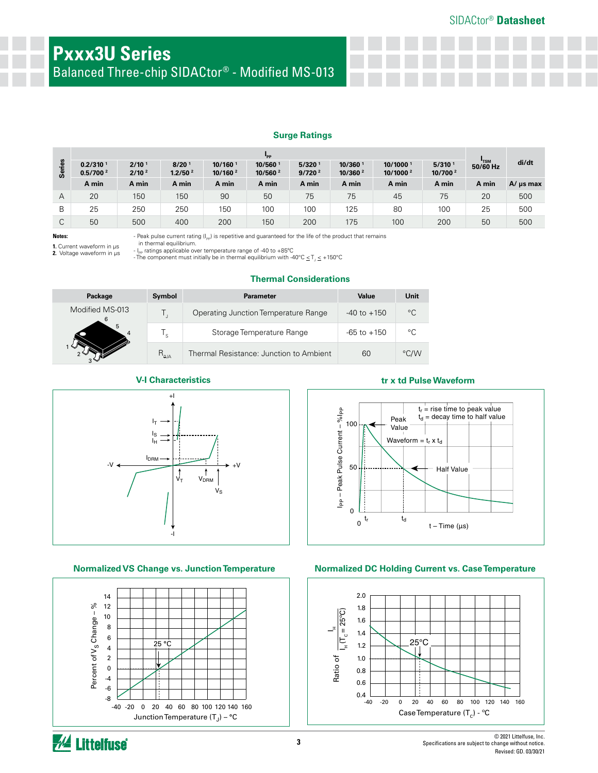Balanced Three-chip SIDACtor® - Modified MS-013

### **Surge Ratings**

|        | "PP                                          |                                        |                                          |                                   |                                |                             |                                 |                                  |                                  |            |               |
|--------|----------------------------------------------|----------------------------------------|------------------------------------------|-----------------------------------|--------------------------------|-----------------------------|---------------------------------|----------------------------------|----------------------------------|------------|---------------|
| Series | 0.2/310 <sup>1</sup><br>0.5/700 <sup>2</sup> | 2/10 <sup>1</sup><br>2/10 <sup>2</sup> | 8/20 <sup>1</sup><br>1.2/50 <sup>2</sup> | 10/160 <sup>1</sup><br>10/160 $2$ | 10/5601<br>10/560 <sup>2</sup> | 5/320<br>9/720 <sup>2</sup> | 10/360 1<br>10/360 <sup>2</sup> | 10/10001<br>10/1000 <sup>2</sup> | 5/310 <sup>1</sup><br>10/700 $2$ | $50/60$ Hz | di/dt         |
|        | A min                                        | A min                                  | A min                                    | A min                             | A min                          | A min                       | A min                           | A min                            | A min                            | A min      | $A/\mu s$ max |
| А      | 20                                           | 150                                    | 150                                      | 90                                | 50                             | 75                          | 75                              | 45                               | 75                               | 20         | 500           |
| B      | 25                                           | 250                                    | 250                                      | 150                               | 100                            | 100                         | 125                             | 80                               | 100                              | 25         | 500           |
| С      | 50                                           | 500                                    | 400                                      | 200                               | 150                            | 200                         | 175                             | 100                              | 200                              | 50         | 500           |

**Notes:** 

**1.** Current waveform in µs **2.** Voltage waveform in µs - Peak pulse current rating  $(I_{\text{pp}})$  is repetitive and guaranteed for the life of the product that remains

in thermal equilibrium. - I<sub>pp</sub> ratings applicable over temperature range of -40 to +85°C

- The component must initially be in thermal equilibrium with -40°C  $\leq T \leq +150$ °C

**Thermal Considerations**

| Package         | Symbol         | <b>Parameter</b>                        | Value           | Unit |
|-----------------|----------------|-----------------------------------------|-----------------|------|
| Modified MS-013 |                | Operating Junction Temperature Range    | $-40$ to $+150$ | °C   |
| 5               | 's             | Storage Temperature Range               | $-65$ to $+150$ | °C.  |
|                 | $R_{\theta$ JA | Thermal Resistance: Junction to Ambient | 60              | °C/W |





### **V-I Characteristics tr x td Pulse Waveform**



### **Normalized VS Change vs. Junction Temperature Normalized DC Holding Current vs. Case Temperature**



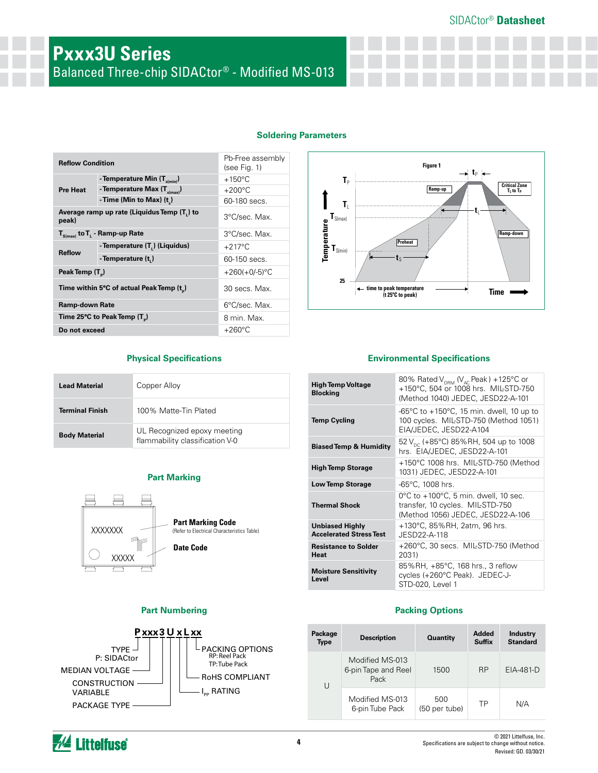# **Pxxx3U Series** Balanced Three-chip SIDACtor® - Modified MS-013

| <b>Soldering Parameters</b> |  |  |
|-----------------------------|--|--|
|                             |  |  |

| <b>Reflow Condition</b>     |                                             | Pb-Free assembly<br>(see Fig. 1) |  |
|-----------------------------|---------------------------------------------|----------------------------------|--|
|                             | - Temperature Min $(T_{s(\text{min})})$     | $+150^{\circ}$ C                 |  |
| <b>Pre Heat</b>             | - Temperature Max $(T_{\text{sum}})$        | $+200^{\circ}$ C                 |  |
|                             | - Time (Min to Max) $(t_*)$                 | 60-180 secs.                     |  |
| peak)                       | Average ramp up rate (Liquidus Temp (T,) to | 3°C/sec. Max.                    |  |
|                             | $T_{S(max)}$ to $T_{L}$ - Ramp-up Rate      | 3°C/sec. Max.                    |  |
| <b>Reflow</b>               | - Temperature (T.) (Liquidus)               | $+217^{\circ}$ C                 |  |
|                             | - Temperature (t,)                          | 60-150 secs.                     |  |
| Peak Temp (T <sub>a</sub> ) |                                             | $+260(+0/-5)$ °C                 |  |
|                             | Time within 5°C of actual Peak Temp (t)     | 30 secs. Max.                    |  |
| <b>Ramp-down Rate</b>       |                                             | 6°C/sec. Max.                    |  |
|                             | Time 25°C to Peak Temp $(T_{\rm s})$        | 8 min. Max.                      |  |
| Do not exceed               |                                             | $+260^{\circ}$ C                 |  |

### **Figure 1**  $\rightarrow$  **t**<sub>P</sub>  $\leftarrow$  $T_P$ **Critical Zone**<br>**T**<sub>L</sub> to T<sub>P</sub> **Ramp-up**  $T_L$ t  $\textbf{T}_{\text{S(max)}}$ **Temperature Ramp-down Preheat**  $\textbf{T}_{\text{S(min]}}$  $t_{\text{S}}$ **25** ł. **time to peak temperature (t 25ºC to peak) Time**

| <b>Lead Material</b>   | Copper Alloy                                                   |
|------------------------|----------------------------------------------------------------|
| <b>Terminal Finish</b> | 100% Matte-Tin Plated                                          |
| <b>Body Material</b>   | UL Recognized epoxy meeting<br>flammability classification V-0 |

### **Part Marking**



### **Part Numbering**



### **Physical Specifications Environmental Specifications**

| <b>High Temp Voltage</b><br><b>Blocking</b>              | 80% Rated $V_{DRM}$ (V <sub>AC</sub> Peak) +125°C or<br>+150°C, 504 or 1008 hrs. MIL-STD-750<br>(Method 1040) JEDEC, JESD22-A-101  |
|----------------------------------------------------------|------------------------------------------------------------------------------------------------------------------------------------|
| <b>Temp Cycling</b>                                      | -65 $\degree$ C to +150 $\degree$ C, 15 min. dwell, 10 up to<br>100 cycles. MIL-STD-750 (Method 1051)<br>EIA/JEDEC, JESD22-A104    |
| <b>Biased Temp &amp; Humidity</b>                        | 52 V <sub>pc</sub> (+85°C) 85%RH, 504 up to 1008<br>hrs. EIA/JEDEC, JESD22-A-101                                                   |
| <b>High Temp Storage</b>                                 | +150°C 1008 hrs. MIL-STD-750 (Method<br>1031) JEDEC, JESD22-A-101                                                                  |
| <b>Low Temp Storage</b>                                  | $-65^{\circ}$ C, 1008 hrs.                                                                                                         |
| <b>Thermal Shock</b>                                     | $0^{\circ}$ C to +100 $^{\circ}$ C, 5 min. dwell, 10 sec.<br>transfer, 10 cycles. MIL-STD-750<br>(Method 1056) JEDEC, JESD22-A-106 |
| <b>Unbiased Highly</b><br><b>Accelerated Stress Test</b> | +130°C, 85%RH, 2atm, 96 hrs.<br>JESD22-A-118                                                                                       |
| <b>Resistance to Solder</b><br><b>Heat</b>               | +260°C, 30 secs. MIL-STD-750 (Method<br>2031)                                                                                      |
| <b>Moisture Sensitivity</b><br>Level                     | 85%RH, +85°C, 168 hrs., 3 reflow<br>cycles (+260°C Peak). JEDEC-J-<br>STD-020, Level 1                                             |

### **Packing Options**

| Package<br><b>Type</b> | <b>Description</b>                             | <b>Quantity</b>      |           | <b>Industry</b><br><b>Standard</b> |
|------------------------|------------------------------------------------|----------------------|-----------|------------------------------------|
| U                      | Modified MS-013<br>6-pin Tape and Reel<br>Pack | 1500                 | <b>RP</b> | $EIA-481-D$                        |
|                        | Modified MS-013<br>6-pin Tube Pack             | 500<br>(50 per tube) | TP        | N/A                                |